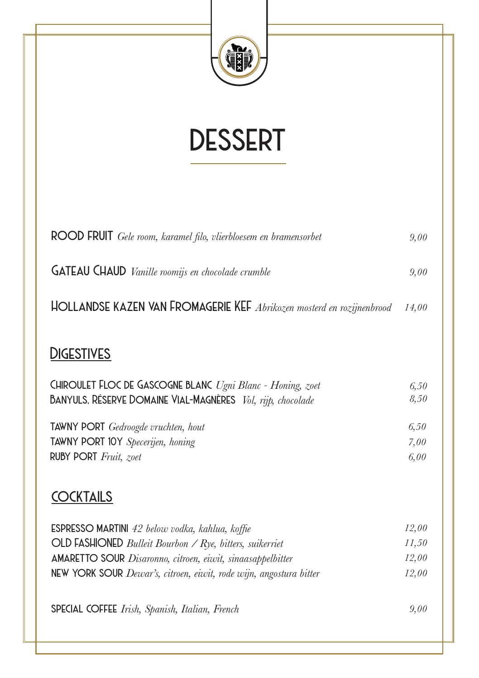

## *dessert*

| ROOD FRUIT Gele room, karamel filo, vlierbloesem en bramensorbet                                                                 | 9,00         |
|----------------------------------------------------------------------------------------------------------------------------------|--------------|
| <b>GATEAU CHAUD</b> Vanille roomijs en chocolade crumble                                                                         | 9,00         |
| HOLLANDSE KAZEN VAN FROMAGERIE KEF Abrikozen mosterd en rozijnenbrood                                                            | 14,00        |
| <b>DIGESTIVES</b>                                                                                                                |              |
| CHIROULET FLOC DE GASCOGNE BLANC Ugni Blanc - Honing, zoet<br><b>BANYULS, RÉSERVE DOMAINE VIAL-MAGNÈRES</b> Vol, rijp, chocolade | 6,50<br>8,50 |
| TAWNY PORT Gedroogde vruchten, hout<br>TAWNY PORT 10Y Specerijen, honing                                                         | 6,50<br>7,00 |
| RUBY PORT Fruit, zoet                                                                                                            | 6,00         |
| <b>COCKTAILS</b>                                                                                                                 |              |
| ESPRESSO MARTINI 42 below vodka, kahlua, koffie                                                                                  | 12,00        |
| $OLD$ FASHIONED <i>Bulleit Bourbon / Rye, bitters, suikerriet</i>                                                                | 11,50        |
| <b>AMARETTO SOUR</b> Disaronno, citroen, eiwit, sinaasappelbitter                                                                | 12,00        |
| NEW YORK SOUR Dewar's, citroen, eiwit, rode wijn, angostura bitter                                                               | 12,00        |
| SPECIAL COFFEE Irish, Spanish, Italian, French                                                                                   | 9.00         |